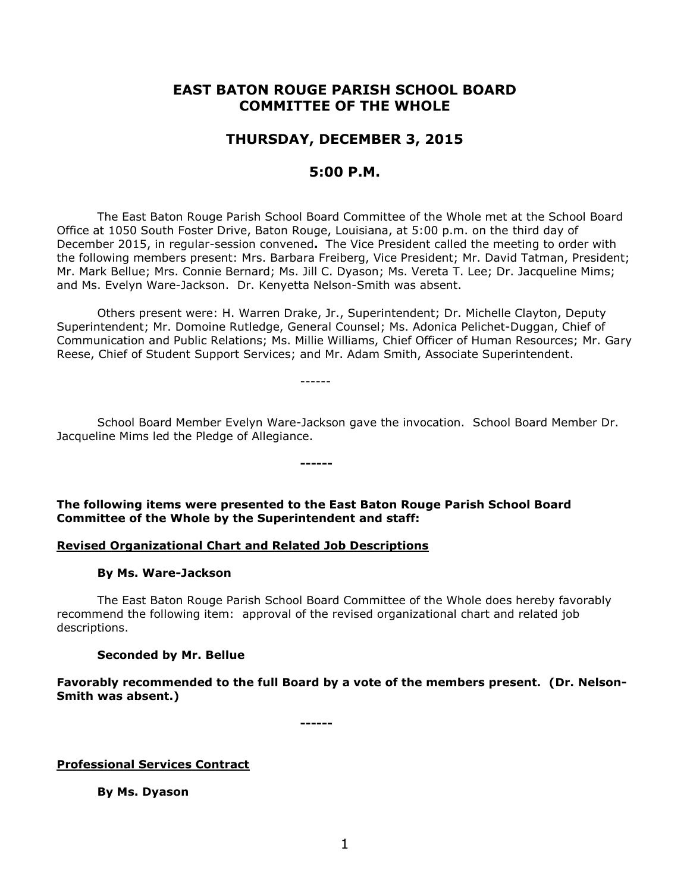# **EAST BATON ROUGE PARISH SCHOOL BOARD COMMITTEE OF THE WHOLE**

# **THURSDAY, DECEMBER 3, 2015**

# **5:00 P.M.**

The East Baton Rouge Parish School Board Committee of the Whole met at the School Board Office at 1050 South Foster Drive, Baton Rouge, Louisiana, at 5:00 p.m. on the third day of December 2015, in regular-session convened**.** The Vice President called the meeting to order with the following members present: Mrs. Barbara Freiberg, Vice President; Mr. David Tatman, President; Mr. Mark Bellue; Mrs. Connie Bernard; Ms. Jill C. Dyason; Ms. Vereta T. Lee; Dr. Jacqueline Mims; and Ms. Evelyn Ware-Jackson. Dr. Kenyetta Nelson-Smith was absent.

Others present were: H. Warren Drake, Jr., Superintendent; Dr. Michelle Clayton, Deputy Superintendent; Mr. Domoine Rutledge, General Counsel; Ms. Adonica Pelichet-Duggan, Chief of Communication and Public Relations; Ms. Millie Williams, Chief Officer of Human Resources; Mr. Gary Reese, Chief of Student Support Services; and Mr. Adam Smith, Associate Superintendent.

School Board Member Evelyn Ware-Jackson gave the invocation. School Board Member Dr. Jacqueline Mims led the Pledge of Allegiance.

**------**

------

**The following items were presented to the East Baton Rouge Parish School Board Committee of the Whole by the Superintendent and staff:**

## **Revised Organizational Chart and Related Job Descriptions**

#### **By Ms. Ware-Jackson**

The East Baton Rouge Parish School Board Committee of the Whole does hereby favorably recommend the following item: approval of the revised organizational chart and related job descriptions.

#### **Seconded by Mr. Bellue**

**Favorably recommended to the full Board by a vote of the members present. (Dr. Nelson-Smith was absent.)**

**------**

**Professional Services Contract**

**By Ms. Dyason**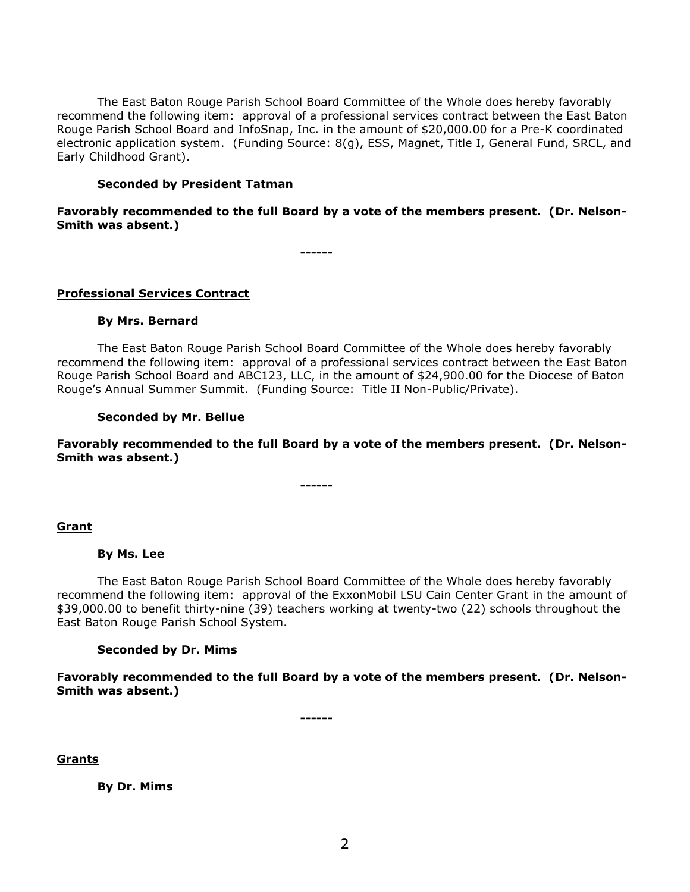The East Baton Rouge Parish School Board Committee of the Whole does hereby favorably recommend the following item: approval of a professional services contract between the East Baton Rouge Parish School Board and InfoSnap, Inc. in the amount of \$20,000.00 for a Pre-K coordinated electronic application system. (Funding Source: 8(g), ESS, Magnet, Title I, General Fund, SRCL, and Early Childhood Grant).

#### **Seconded by President Tatman**

**Favorably recommended to the full Board by a vote of the members present. (Dr. Nelson-Smith was absent.)**

**------**

#### **Professional Services Contract**

#### **By Mrs. Bernard**

The East Baton Rouge Parish School Board Committee of the Whole does hereby favorably recommend the following item: approval of a professional services contract between the East Baton Rouge Parish School Board and ABC123, LLC, in the amount of \$24,900.00 for the Diocese of Baton Rouge's Annual Summer Summit. (Funding Source: Title II Non-Public/Private).

#### **Seconded by Mr. Bellue**

**Favorably recommended to the full Board by a vote of the members present. (Dr. Nelson-Smith was absent.)**

**------**

## **Grant**

#### **By Ms. Lee**

The East Baton Rouge Parish School Board Committee of the Whole does hereby favorably recommend the following item: approval of the ExxonMobil LSU Cain Center Grant in the amount of \$39,000.00 to benefit thirty-nine (39) teachers working at twenty-two (22) schools throughout the East Baton Rouge Parish School System.

#### **Seconded by Dr. Mims**

**Favorably recommended to the full Board by a vote of the members present. (Dr. Nelson-Smith was absent.)**

**------**

## **Grants**

**By Dr. Mims**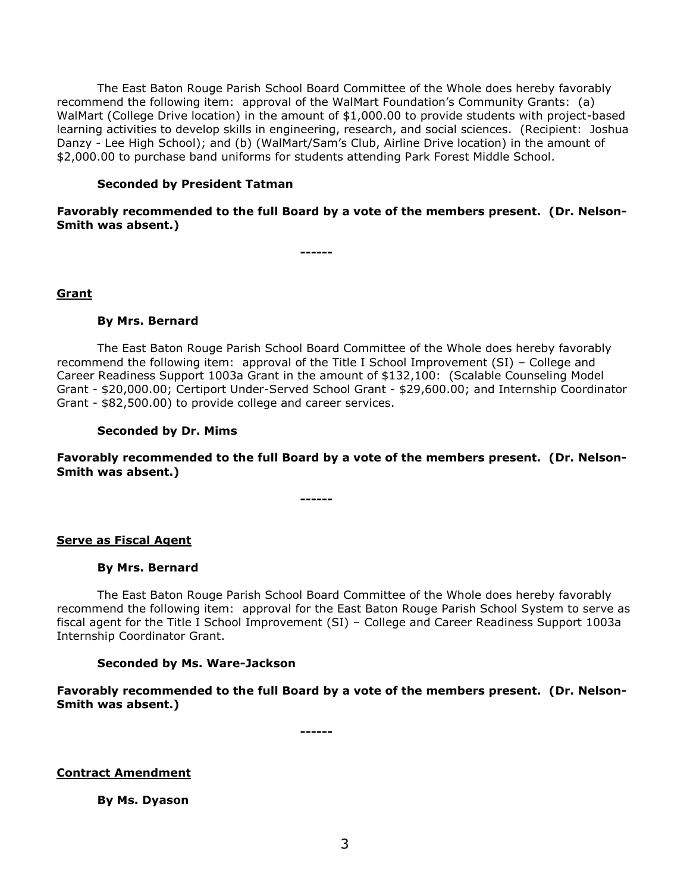The East Baton Rouge Parish School Board Committee of the Whole does hereby favorably recommend the following item: approval of the WalMart Foundation's Community Grants: (a) WalMart (College Drive location) in the amount of \$1,000.00 to provide students with project-based learning activities to develop skills in engineering, research, and social sciences. (Recipient: Joshua Danzy - Lee High School); and (b) (WalMart/Sam's Club, Airline Drive location) in the amount of \$2,000.00 to purchase band uniforms for students attending Park Forest Middle School.

#### **Seconded by President Tatman**

**Favorably recommended to the full Board by a vote of the members present. (Dr. Nelson-Smith was absent.)**

**------**

#### **Grant**

#### **By Mrs. Bernard**

The East Baton Rouge Parish School Board Committee of the Whole does hereby favorably recommend the following item: approval of the Title I School Improvement (SI) – College and Career Readiness Support 1003a Grant in the amount of \$132,100: (Scalable Counseling Model Grant - \$20,000.00; Certiport Under-Served School Grant - \$29,600.00; and Internship Coordinator Grant - \$82,500.00) to provide college and career services.

#### **Seconded by Dr. Mims**

**Favorably recommended to the full Board by a vote of the members present. (Dr. Nelson-Smith was absent.)**

**------**

#### **Serve as Fiscal Agent**

#### **By Mrs. Bernard**

The East Baton Rouge Parish School Board Committee of the Whole does hereby favorably recommend the following item: approval for the East Baton Rouge Parish School System to serve as fiscal agent for the Title I School Improvement (SI) – College and Career Readiness Support 1003a Internship Coordinator Grant.

#### **Seconded by Ms. Ware-Jackson**

**Favorably recommended to the full Board by a vote of the members present. (Dr. Nelson-Smith was absent.)**

**------**

## **Contract Amendment**

**By Ms. Dyason**